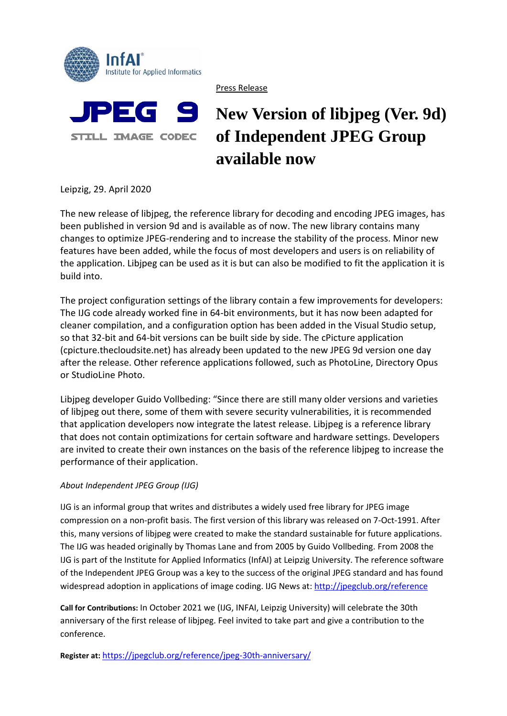

Press Release

## PEG 9 **STILL IMAGE CODEC**

# **New Version of libjpeg (Ver. 9d) of Independent JPEG Group available now**

Leipzig, 29. April 2020

The new release of libjpeg, the reference library for decoding and encoding JPEG images, has been published in version 9d and is available as of now. The new library contains many changes to optimize JPEG-rendering and to increase the stability of the process. Minor new features have been added, while the focus of most developers and users is on reliability of the application. Libjpeg can be used as it is but can also be modified to fit the application it is build into.

The project configuration settings of the library contain a few improvements for developers: The IJG code already worked fine in 64-bit environments, but it has now been adapted for cleaner compilation, and a configuration option has been added in the Visual Studio setup, so that 32-bit and 64-bit versions can be built side by side. The cPicture application (cpicture.thecloudsite.net) has already been updated to the new JPEG 9d version one day after the release. Other reference applications followed, such as PhotoLine, Directory Opus or StudioLine Photo.

Libjpeg developer Guido Vollbeding: "Since there are still many older versions and varieties of libjpeg out there, some of them with severe security vulnerabilities, it is recommended that application developers now integrate the latest release. Libjpeg is a reference library that does not contain optimizations for certain software and hardware settings. Developers are invited to create their own instances on the basis of the reference libjpeg to increase the performance of their application.

## *About Independent JPEG Group (IJG)*

IJG is an informal group that writes and distributes a widely used free library for JPEG image compression on a non-profit basis. The first version of this library was released on 7-Oct-1991. After this, many versions of libjpeg were created to make the standard sustainable for future applications. The IJG was headed originally by Thomas Lane and from 2005 by Guido Vollbeding. From 2008 the IJG is part of the Institute for Applied Informatics (InfAI) at Leipzig University. The reference software of the Independent JPEG Group was a key to the success of the original JPEG standard and has found widespread adoption in applications of image coding. IJG News at:<http://jpegclub.org/reference>

**Call for Contributions:** In October 2021 we (IJG, INFAI, Leipzig University) will celebrate the 30th anniversary of the first release of libjpeg. Feel invited to take part and give a contribution to the conference.

**Register at:** <https://jpegclub.org/reference/jpeg-30th-anniversary/>